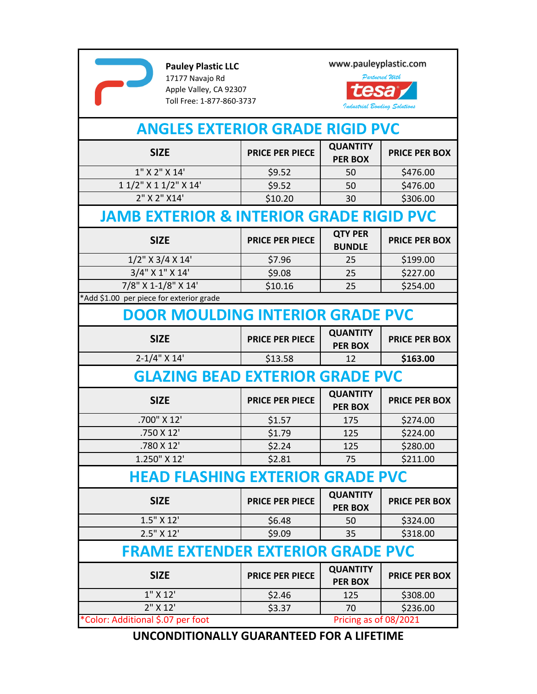

**Pauley Plastic LLC** 17177 Navajo Rd Apple Valley, CA 92307 Toll Free: 1‐877‐860‐3737 www.pauleyplastic.com



| <b>ANGLES EXTERIOR GRADE RIGID PVC</b>              |                        |                                   |                      |  |  |
|-----------------------------------------------------|------------------------|-----------------------------------|----------------------|--|--|
| <b>SIZE</b>                                         | <b>PRICE PER PIECE</b> | <b>QUANTITY</b><br><b>PER BOX</b> | <b>PRICE PER BOX</b> |  |  |
| 1" X 2" X 14'                                       | \$9.52                 | 50                                | \$476.00             |  |  |
| 1 1/2" X 1 1/2" X 14'                               | \$9.52                 | 50                                | \$476.00             |  |  |
| 2" X 2" X14'                                        | \$10.20                | 30                                | \$306.00             |  |  |
| <b>JAMB EXTERIOR &amp; INTERIOR GRADE RIGID PVC</b> |                        |                                   |                      |  |  |
| <b>SIZE</b>                                         | <b>PRICE PER PIECE</b> | <b>QTY PER</b><br><b>BUNDLE</b>   | <b>PRICE PER BOX</b> |  |  |
| $1/2$ " X 3/4 X 14'                                 | \$7.96                 | 25                                | \$199.00             |  |  |
| 3/4" X 1" X 14'                                     | \$9.08                 | 25                                | \$227.00             |  |  |
| 7/8" X 1-1/8" X 14'                                 | \$10.16                | 25                                | \$254.00             |  |  |
| *Add \$1.00 per piece for exterior grade            |                        |                                   |                      |  |  |
| <b>DOOR MOULDING INTERIOR GRADE PVC</b>             |                        |                                   |                      |  |  |
| <b>SIZE</b>                                         | <b>PRICE PER PIECE</b> | <b>QUANTITY</b><br><b>PER BOX</b> | <b>PRICE PER BOX</b> |  |  |
| $2 - 1/4$ " X 14'                                   | \$13.58                | 12                                | \$163.00             |  |  |
| <b>GLAZING BEAD EXTERIOR GRADE PVC</b>              |                        |                                   |                      |  |  |
| <b>SIZE</b>                                         | <b>PRICE PER PIECE</b> | <b>QUANTITY</b><br><b>PER BOX</b> | <b>PRICE PER BOX</b> |  |  |
| .700" X 12'                                         | \$1.57                 | 175                               | \$274.00             |  |  |
| .750 X 12'                                          | \$1.79                 | 125                               | \$224.00             |  |  |
| .780 X 12'                                          | \$2.24                 | 125                               | \$280.00             |  |  |
| 1.250" X 12'                                        | \$2.81                 | 75                                | \$211.00             |  |  |
| <b>HEAD FLASHING EXTERIOR GRADE PVC</b>             |                        |                                   |                      |  |  |
| <b>SIZE</b>                                         | <b>PRICE PER PIECE</b> | <b>QUANTITY</b><br><b>PER BOX</b> | <b>PRICE PER BOX</b> |  |  |
| $1.5''$ X $12'$                                     | \$6.48                 | 50                                | \$324.00             |  |  |
| 2.5" X 12'                                          | \$9.09                 | 35                                | \$318.00             |  |  |
| <b>FRAME EXTENDER EXTERIOR GRADE PVC</b>            |                        |                                   |                      |  |  |
| <b>SIZE</b>                                         | <b>PRICE PER PIECE</b> | <b>QUANTITY</b><br><b>PER BOX</b> | <b>PRICE PER BOX</b> |  |  |
| $1''$ X $12'$                                       | \$2.46                 | 125                               | \$308.00             |  |  |
| $2''$ X 12'                                         | \$3.37                 | 70                                | \$236.00             |  |  |
| *Color: Additional \$.07 per foot                   |                        | Pricing as of 08/2021             |                      |  |  |

**UNCONDITIONALLY GUARANTEED FOR A LIFETIME**